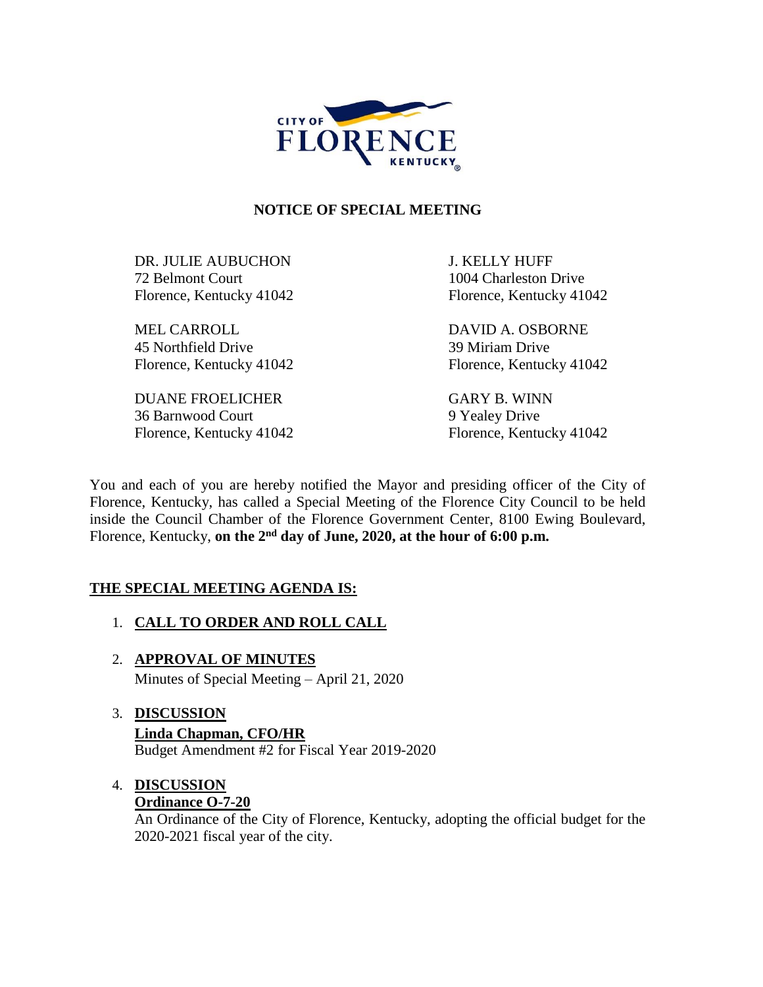

#### **NOTICE OF SPECIAL MEETING**

DR. JULIE AUBUCHON J. KELLY HUFF 72 Belmont Court 1004 Charleston Drive Florence, Kentucky 41042 Florence, Kentucky 41042

MEL CARROLL DAVID A. OSBORNE 45 Northfield Drive 39 Miriam Drive Florence, Kentucky 41042 Florence, Kentucky 41042

DUANE FROELICHER GARY B. WINN 36 Barnwood Court 9 Yealey Drive

Florence, Kentucky 41042 Florence, Kentucky 41042

You and each of you are hereby notified the Mayor and presiding officer of the City of Florence, Kentucky, has called a Special Meeting of the Florence City Council to be held inside the Council Chamber of the Florence Government Center, 8100 Ewing Boulevard, Florence, Kentucky, **on the 2nd day of June, 2020, at the hour of 6:00 p.m.** 

### **THE SPECIAL MEETING AGENDA IS:**

- 1. **CALL TO ORDER AND ROLL CALL**
- 2. **APPROVAL OF MINUTES** Minutes of Special Meeting – April 21, 2020
- 3. **DISCUSSION Linda Chapman, CFO/HR** Budget Amendment #2 for Fiscal Year 2019-2020

# 4. **DISCUSSION**

## **Ordinance O-7-20**

An Ordinance of the City of Florence, Kentucky, adopting the official budget for the 2020-2021 fiscal year of the city.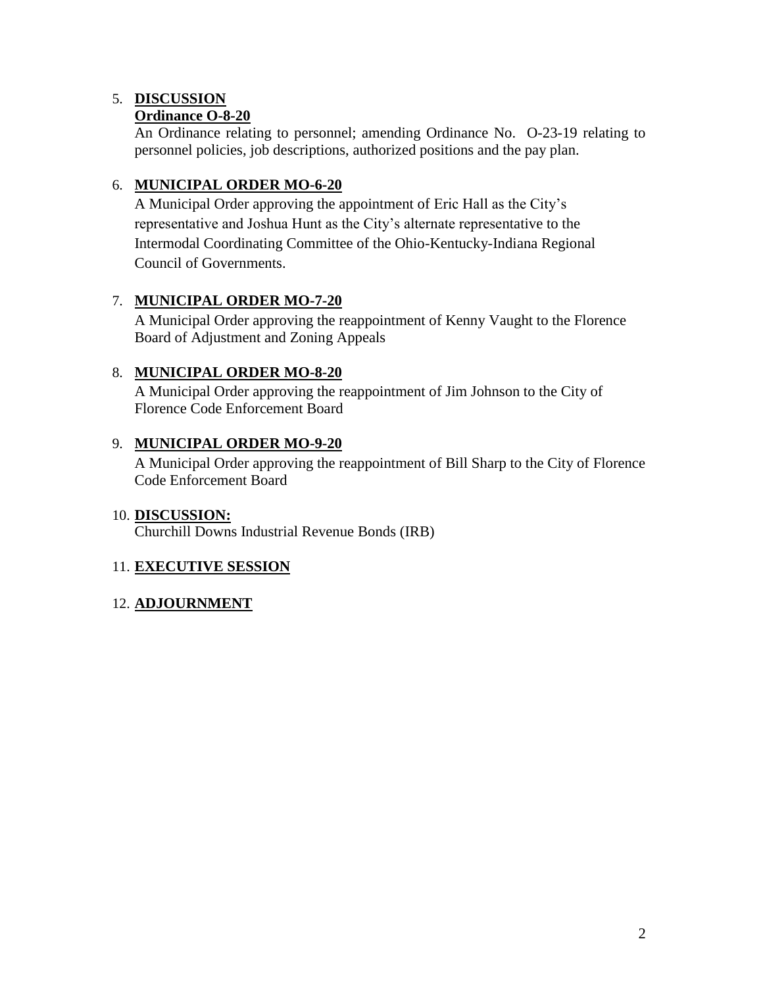# 5. **DISCUSSION**

## **Ordinance O-8-20**

An Ordinance relating to personnel; amending Ordinance No. O-23-19 relating to personnel policies, job descriptions, authorized positions and the pay plan.

### 6. **MUNICIPAL ORDER MO-6-20**

A Municipal Order approving the appointment of Eric Hall as the City's representative and Joshua Hunt as the City's alternate representative to the Intermodal Coordinating Committee of the Ohio-Kentucky-Indiana Regional Council of Governments.

## 7. **MUNICIPAL ORDER MO-7-20**

A Municipal Order approving the reappointment of Kenny Vaught to the Florence Board of Adjustment and Zoning Appeals

## 8. **MUNICIPAL ORDER MO-8-20**

A Municipal Order approving the reappointment of Jim Johnson to the City of Florence Code Enforcement Board

### 9. **MUNICIPAL ORDER MO-9-20**

A Municipal Order approving the reappointment of Bill Sharp to the City of Florence Code Enforcement Board

### 10. **DISCUSSION:**

Churchill Downs Industrial Revenue Bonds (IRB)

### 11. **EXECUTIVE SESSION**

### 12. **ADJOURNMENT**